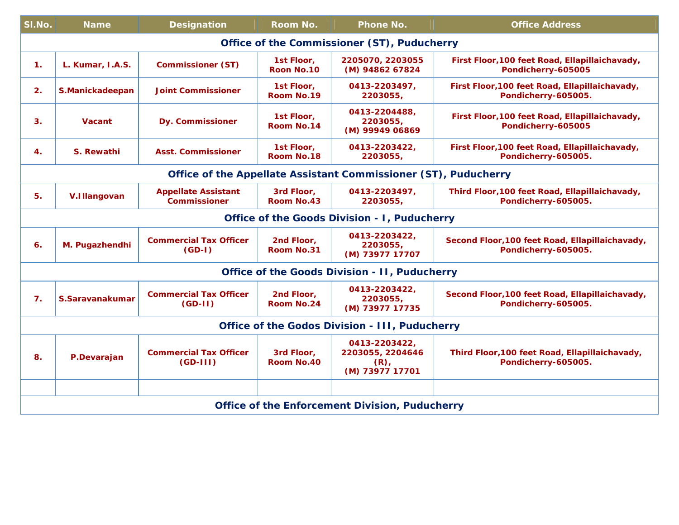| SI.No.                                                          | <b>Name</b>      | <b>Designation</b>                                | Room No.                                                                                                                                                                                                                                                                | <b>Phone No.</b>                                                | <b>Office Address</b>                                                  |  |  |  |  |  |
|-----------------------------------------------------------------|------------------|---------------------------------------------------|-------------------------------------------------------------------------------------------------------------------------------------------------------------------------------------------------------------------------------------------------------------------------|-----------------------------------------------------------------|------------------------------------------------------------------------|--|--|--|--|--|
|                                                                 |                  |                                                   | Office of the Commissioner (ST), Puducherry<br>2205070, 2203055<br>1st Floor,<br>First Floor, 100 feet Road, Ellapillaichavady,<br>Roon No.10<br>(M) 94862 67824<br>Pondicherry-605005<br>First Floor, 100 feet Road, Ellapillaichavady,<br>1st Floor,<br>0413-2203497, |                                                                 |                                                                        |  |  |  |  |  |
| 1.                                                              | L. Kumar, I.A.S. | <b>Commissioner (ST)</b>                          |                                                                                                                                                                                                                                                                         |                                                                 |                                                                        |  |  |  |  |  |
| 2.                                                              | S.Manickadeepan  | <b>Joint Commissioner</b>                         | Room No.19                                                                                                                                                                                                                                                              | 2203055,                                                        | Pondicherry-605005.                                                    |  |  |  |  |  |
| 3.                                                              | Vacant           | <b>Dy. Commissioner</b>                           | 1st Floor,<br>Room No.14                                                                                                                                                                                                                                                | 0413-2204488,<br>2203055,<br>(M) 99949 06869                    | First Floor, 100 feet Road, Ellapillaichavady,<br>Pondicherry-605005   |  |  |  |  |  |
| 4.                                                              | S. Rewathi       | <b>Asst. Commissioner</b>                         | 1st Floor,<br>Room No.18                                                                                                                                                                                                                                                | 0413-2203422,<br>2203055,                                       | First Floor, 100 feet Road, Ellapillaichavady,<br>Pondicherry-605005.  |  |  |  |  |  |
| Office of the Appellate Assistant Commissioner (ST), Puducherry |                  |                                                   |                                                                                                                                                                                                                                                                         |                                                                 |                                                                        |  |  |  |  |  |
| 5.                                                              | V.Illangovan     | <b>Appellate Assistant</b><br><b>Commissioner</b> | 3rd Floor,<br>Room No.43                                                                                                                                                                                                                                                | 0413-2203497,<br>2203055,                                       | Third Floor, 100 feet Road, Ellapillaichavady,<br>Pondicherry-605005.  |  |  |  |  |  |
| <b>Office of the Goods Division - I, Puducherry</b>             |                  |                                                   |                                                                                                                                                                                                                                                                         |                                                                 |                                                                        |  |  |  |  |  |
| 6.                                                              | M. Pugazhendhi   | <b>Commercial Tax Officer</b><br>$(GD-I)$         | 2nd Floor,<br>Room No.31                                                                                                                                                                                                                                                | 0413-2203422,<br>2203055,<br>(M) 73977 17707                    | Second Floor, 100 feet Road, Ellapillaichavady,<br>Pondicherry-605005. |  |  |  |  |  |
| <b>Office of the Goods Division - II, Puducherry</b>            |                  |                                                   |                                                                                                                                                                                                                                                                         |                                                                 |                                                                        |  |  |  |  |  |
| $\mathbf{7}$ .                                                  | S.Saravanakumar  | <b>Commercial Tax Officer</b><br>$(GD-II)$        | 2nd Floor,<br>Room No.24                                                                                                                                                                                                                                                | 0413-2203422,<br>2203055,<br>(M) 73977 17735                    | Second Floor, 100 feet Road, Ellapillaichavady,<br>Pondicherry-605005. |  |  |  |  |  |
| Office of the Godos Division - III, Puducherry                  |                  |                                                   |                                                                                                                                                                                                                                                                         |                                                                 |                                                                        |  |  |  |  |  |
| 8.                                                              | P.Devarajan      | <b>Commercial Tax Officer</b><br>$(GD-III)$       | 3rd Floor,<br>Room No.40                                                                                                                                                                                                                                                | 0413-2203422,<br>2203055, 2204646<br>$(R)$ ,<br>(M) 73977 17701 | Third Floor, 100 feet Road, Ellapillaichavady,<br>Pondicherry-605005.  |  |  |  |  |  |
|                                                                 |                  |                                                   |                                                                                                                                                                                                                                                                         |                                                                 |                                                                        |  |  |  |  |  |
| Office of the Enforcement Division, Puducherry                  |                  |                                                   |                                                                                                                                                                                                                                                                         |                                                                 |                                                                        |  |  |  |  |  |